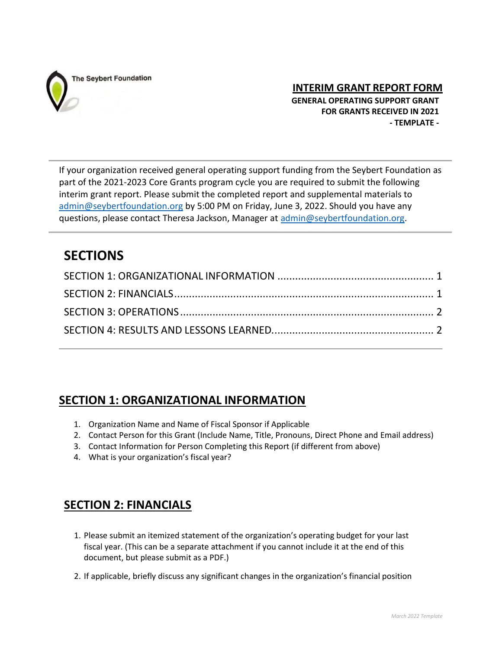

**INTERIM GRANT REPORT FORM**

 **GENERAL OPERATING SUPPORT GRANT FOR GRANTS RECEIVED IN 2021 - TEMPLATE -**

If your organization received general operating support funding from the Seybert Foundation as part of the 2021-2023 Core Grants program cycle you are required to submit the following interim grant report. Please submit the completed report and supplemental materials to [admin@seybertfoundation.org](mailto:admin@seybertfoundation.org) by 5:00 PM on Friday, June 3, 2022. Should you have any questions, please contact Theresa Jackson, Manager at [admin@seybertfoundation.org.](mailto:admin@seybertfoundation.org)

# **SECTIONS**

## <span id="page-0-0"></span>**SECTION 1: ORGANIZATIONAL INFORMATION**

- 1. Organization Name and Name of Fiscal Sponsor if Applicable
- 2. Contact Person for this Grant (Include Name, Title, Pronouns, Direct Phone and Email address)
- 3. Contact Information for Person Completing this Report (if different from above)
- 4. What is your organization's fiscal year?

### <span id="page-0-1"></span>**SECTION 2: FINANCIALS**

- 1. Please submit an itemized statement of the organization's operating budget for your last fiscal year. (This can be a separate attachment if you cannot include it at the end of this document, but please submit as a PDF.)
- 2. If applicable, briefly discuss any significant changes in the organization's financial position